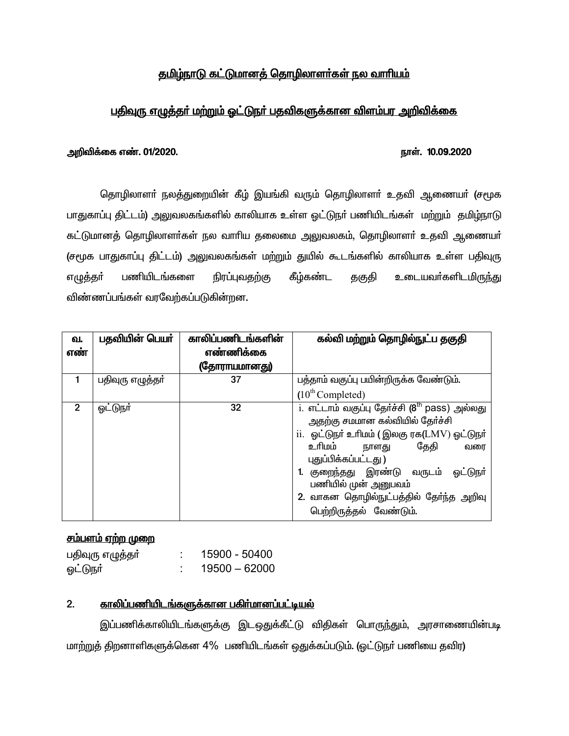# <u>தமிழ்நாடு கட்டுமானத் தொழிலாளர்கள் நல வாரியம்</u>

# <u>பதிவுரு எழுத்தா் மற்றும் ஓட்டுநா் பதவிகளுக்கான விளம்பர அறிவிக்கை </u>

### நாள். 10.09.2020

### அறிவிக்கை எண். 01/2020.

தொழிலாளா் நலத்துறையின் கீழ் இயங்கி வரும் தொழிலாளா் உதவி ஆணையா் (சமூக பாதுகாப்பு திட்டம்) அலுவலகங்களில் காலியாக உள்ள ஒட்டுநா் பணியிடங்கள் மற்றும் தமிழ்நாடு கட்டுமானத் தொழிலாளா்கள் நல வாாிய தலைமை அலுவலகம், தொழிலாளா் உதவி ஆணையா் (சமூக பாதுகாப்பு திட்டம்) அலுவலகங்கள் மற்றும் துயில் கூடங்களில் காலியாக உள்ள பதிவுரு பணியிடங்களை நிரப்புவகற்கு கீம்கண்ட உடையவர்களிடமிருந்து எழுத்தா் தகுதி விண்ணப்பங்கள் வரவேற்கப்படுகின்றன.

| ഖ.<br>எண்      | பதவியின் பெயர்   | காலிப்பணிடங்களின்<br>எண்ணிக்கை | கல்வி மற்றும் தொழில்நுட்ப தகுதி                                                                                                                                                                                                                                                                                                                      |
|----------------|------------------|--------------------------------|------------------------------------------------------------------------------------------------------------------------------------------------------------------------------------------------------------------------------------------------------------------------------------------------------------------------------------------------------|
|                |                  | (தோராயமானது)                   |                                                                                                                                                                                                                                                                                                                                                      |
|                | பதிவுரு எழுத்தா் | 37                             | பத்தாம் வகுப்பு பயின்றிருக்க வேண்டும்.                                                                                                                                                                                                                                                                                                               |
|                |                  |                                | $(10^{th}$ Completed)                                                                                                                                                                                                                                                                                                                                |
| $\overline{2}$ | <u>ஓட்டுந</u> ர் | 32                             | i. எட்டாம் வகுப்பு தேர்ச்சி (8 <sup>th</sup> pass) அல்லது<br>அதற்கு சமமான கல்வியில் தேர்ச்சி<br>ii. ஓட்டுநா் உரிமம் (இலகு ரக(LMV) ஓட்டுநா்<br>உரிமம்<br>தேதி<br>நாளது<br>வரை<br>புதுப்பிக்கப்பட்டது)<br>1. குறைந்தது இரண்டு வருடம்<br><u>ஓட்டுந</u> ர்<br>பணியில் முன் அனுபவம்<br>2. வாகன தொழில்நுட்பத்தில் தேர்ந்த அறிவு<br>பெற்றிருத்தல் வேண்டும். |

# <u>சம்பளம் ஏற்ற முறை</u>

| பதிவுரு எழுத்தா் | 15900 - 50400   |
|------------------|-----------------|
| <u>ஓட்டுந</u> ா் | $19500 - 62000$ |

#### $2.$ <u>காலிப்பணியிடங்களுக்கான பகிர்மானப்பட்டியல்</u>

இப்பணிக்காலியிடங்களுக்கு இடஒதுக்கீட்டு விதிகள் பொருந்தும், அரசாணையின்படி மாற்றுத் திறனாளிகளுக்கென 4% பணியிடங்கள் ஒதுக்கப்படும். (ஓட்டுநா் பணியை தவிர)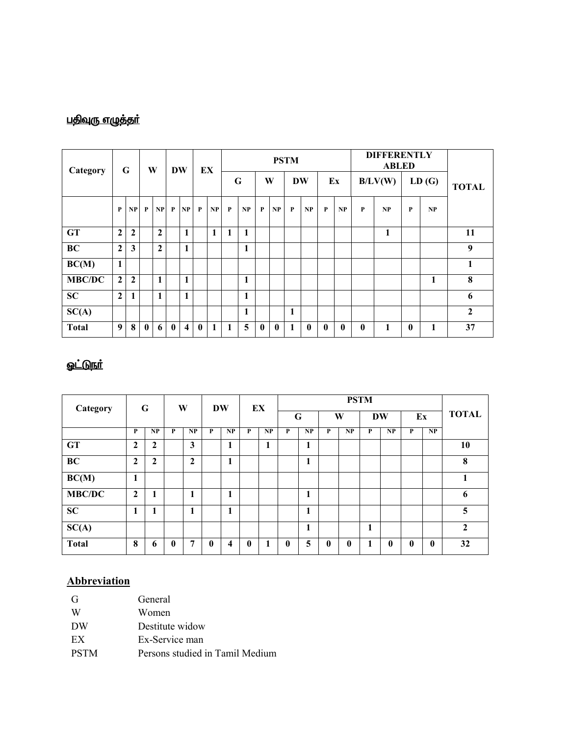# <u>பதிவுரு எழுத்தா்</u>

| Category      | G              |                |              |                |              |              |          |              |   | W            |              | <b>DW</b> |           | EX          |              |              |         |              | <b>PSTM</b>  |              |                  |  |  | <b>DIFFERENTLY</b><br><b>ABLED</b> |  |  |  |
|---------------|----------------|----------------|--------------|----------------|--------------|--------------|----------|--------------|---|--------------|--------------|-----------|-----------|-------------|--------------|--------------|---------|--------------|--------------|--------------|------------------|--|--|------------------------------------|--|--|--|
|               |                |                |              |                |              |              |          |              | G |              | W            |           | <b>DW</b> |             | Ex           |              | B/LV(W) |              | LD(G)        |              | <b>TOTAL</b>     |  |  |                                    |  |  |  |
|               | $\mathbf{P}$   | NP             | $\mathbf{P}$ | NP             | P            | NP           | P        | NP           | P | NP           | P            | NP        | P         | NP          | P            | NP           | P       | NP           | $\mathbf{P}$ | NP           |                  |  |  |                                    |  |  |  |
| <b>GT</b>     | $\mathbf{2}$   | $\overline{2}$ |              | $\mathbf{2}$   |              | 1            |          | $\mathbf{1}$ | 1 | 1            |              |           |           |             |              |              |         | $\mathbf{1}$ |              |              | 11               |  |  |                                    |  |  |  |
| BC            | $\overline{2}$ | 3              |              | $\overline{2}$ |              | 1            |          |              |   | 1            |              |           |           |             |              |              |         |              |              |              | $\boldsymbol{9}$ |  |  |                                    |  |  |  |
| BC(M)         | 1              |                |              |                |              |              |          |              |   |              |              |           |           |             |              |              |         |              |              |              | $\mathbf{1}$     |  |  |                                    |  |  |  |
| <b>MBC/DC</b> | $\overline{2}$ | $\overline{2}$ |              | 1              |              | 1            |          |              |   | 1            |              |           |           |             |              |              |         |              |              | $\mathbf{1}$ | 8                |  |  |                                    |  |  |  |
| <b>SC</b>     | $\mathbf{2}$   | 1              |              | 1              |              | $\mathbf{1}$ |          |              |   | $\mathbf{1}$ |              |           |           |             |              |              |         |              |              |              | 6                |  |  |                                    |  |  |  |
| SC(A)         |                |                |              |                |              |              |          |              |   | 1            |              |           | 1         |             |              |              |         |              |              |              | $\overline{2}$   |  |  |                                    |  |  |  |
| <b>Total</b>  | 9              | 8              | $\mathbf{0}$ | 6              | $\mathbf{0}$ | 4            | $\bf{0}$ | 1            | 1 | 5            | $\mathbf{0}$ | $\bf{0}$  |           | $\mathbf 0$ | $\mathbf{0}$ | $\mathbf{0}$ | 0       | 1            | $\bf{0}$     | 1            | 37               |  |  |                                    |  |  |  |

# <u>ஓட்டுநர்</u>

| Category      | G              |              |              |                |              |                     | W            |    | <b>DW</b> |    |              | EX           |   | <b>PSTM</b>  |              |    |              |  |  |  |  |  |
|---------------|----------------|--------------|--------------|----------------|--------------|---------------------|--------------|----|-----------|----|--------------|--------------|---|--------------|--------------|----|--------------|--|--|--|--|--|
|               |                |              |              |                |              |                     |              |    |           | G  |              | W            |   | <b>DW</b>    |              | Ex | <b>TOTAL</b> |  |  |  |  |  |
|               | P              | NP           | P            | NP             | P            | NP                  | P            | NP | P         | NP | P            | NP           | P | NP           | P            | NP |              |  |  |  |  |  |
| <b>GT</b>     | $\overline{2}$ | $\mathbf{2}$ |              | $\mathbf{3}$   |              | $\blacksquare$<br>л |              | 1  |           | 1  |              |              |   |              |              |    | 10           |  |  |  |  |  |
| BC            | $\overline{2}$ | $\mathbf{2}$ |              | $\overline{2}$ |              | п                   |              |    |           |    |              |              |   |              |              |    | 8            |  |  |  |  |  |
| BC(M)         | 1<br>л.        |              |              |                |              |                     |              |    |           |    |              |              |   |              |              |    |              |  |  |  |  |  |
| <b>MBC/DC</b> | $\mathbf{2}$   | 1            |              | 1              |              | п                   |              |    |           | 1  |              |              |   |              |              |    | 6            |  |  |  |  |  |
| SC            |                |              |              | 1              |              | п                   |              |    |           |    |              |              |   |              |              |    | 5            |  |  |  |  |  |
| SC(A)         |                |              |              |                |              |                     |              |    |           |    |              |              | 1 |              |              |    | $\mathbf{2}$ |  |  |  |  |  |
| <b>Total</b>  | 8              | 6            | $\mathbf{0}$ | 7              | $\mathbf{0}$ | 4                   | $\mathbf{0}$ | 1  | 0         | 5  | $\mathbf{0}$ | $\mathbf{0}$ |   | $\mathbf{0}$ | $\mathbf{0}$ | 0  | 32           |  |  |  |  |  |

# **Abbreviation**

| G           | General                         |
|-------------|---------------------------------|
| W           | Women                           |
| DW          | Destitute widow                 |
| EX          | Ex-Service man                  |
| <b>PSTM</b> | Persons studied in Tamil Medium |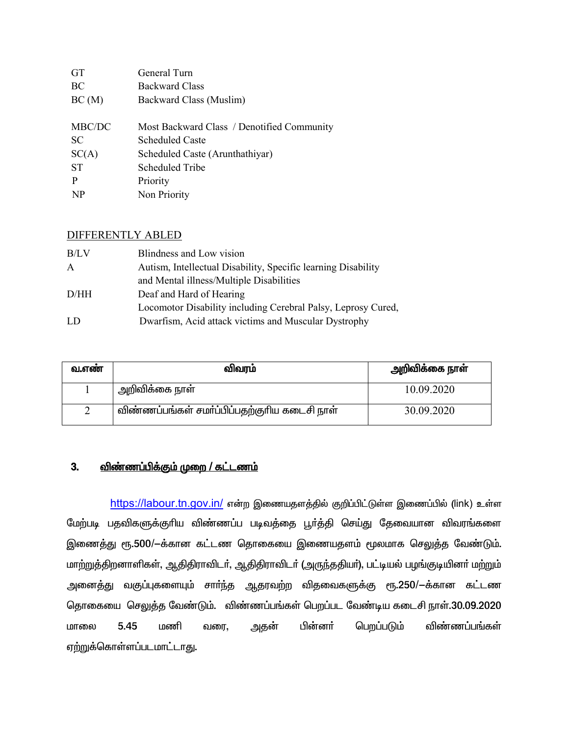| <b>GT</b>      | General Turn                               |
|----------------|--------------------------------------------|
| BC             | <b>Backward Class</b>                      |
| BC(M)          | Backward Class (Muslim)                    |
|                |                                            |
| MBC/DC         | Most Backward Class / Denotified Community |
| <b>SC</b>      | Scheduled Caste                            |
| SC(A)          | Scheduled Caste (Arunthathiyar)            |
| <b>ST</b>      | Scheduled Tribe                            |
| P              | Priority                                   |
| N <sub>P</sub> | Non Priority                               |
|                |                                            |

### **DIFFERENTLY ABLED**

| B/LV         | Blindness and Low vision                                      |
|--------------|---------------------------------------------------------------|
| $\mathsf{A}$ | Autism, Intellectual Disability, Specific learning Disability |
|              | and Mental illness/Multiple Disabilities                      |
| D/HH         | Deaf and Hard of Hearing                                      |
|              | Locomotor Disability including Cerebral Palsy, Leprosy Cured, |
| LD.          | Dwarfism, Acid attack victims and Muscular Dystrophy          |

| வ.எண | விவரம்                                       | அறிவிக்கை நாள் |
|------|----------------------------------------------|----------------|
|      | அறிவிக்கை நாள்                               | 10.09.2020     |
|      | விண்ணப்பங்கள் சமா்ப்பிப்பதற்குாிய கடைசி நாள் | 30.09.2020     |

#### <u>விண்ணப்பிக்கும் முறை / கட்டணம்</u>  $3.$

https://labour.tn.gov.in/ என்ற இணையதளத்தில் குறிப்பிட்டுள்ள இணைப்பில் (link) உள்ள மேற்படி பதவிகளுக்குரிய விண்ணப்ப படிவத்தை பூர்த்தி செய்து தேவையான விவரங்களை இணைத்து ரூ.500/—க்கான கட்டண தொகையை இணையதளம் மூலமாக செலுத்த வேண்டும். மாற்றுத்திறனாளிகள், ஆதிதிராவிடர், ஆதிதிராவிடர் (அருந்ததியர்), பட்டியல் பழங்குடியினர் மற்றும் அனைத்து வகுப்புகளையும் சாா்ந்த ஆதரவற்ற விதவைகளுக்கு ரூ.250/-க்கான கட்டண தொகையை செலுத்த வேண்டும். விண்ணப்பங்கள் பெறப்பட வேண்டிய கடைசி நாள்.30.09.2020 பின்னா் 5.45  $Inomf$ அதன் பெறப்படும் விண்ணப்பங்கள் பாளை வரை, ஏற்றுக்கொள்ளப்படமாட்டாது.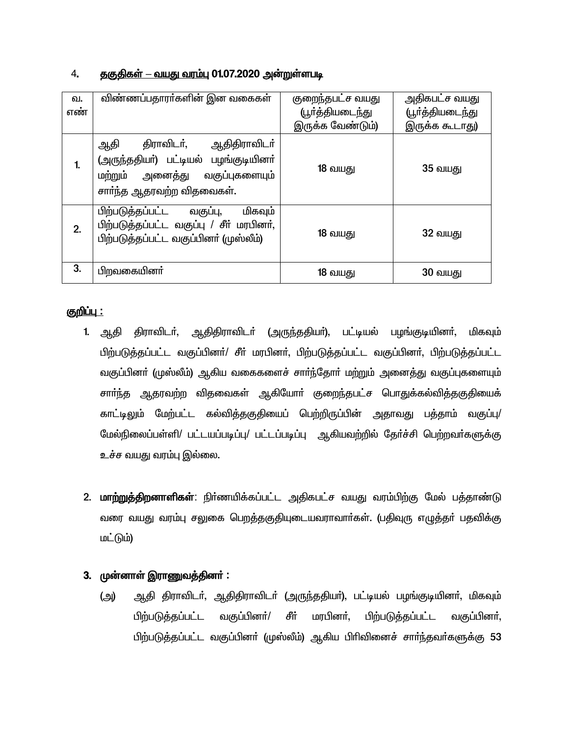# 4. <u>தகுதிகள் – வயது வரம்பு</u> 01.07.2020 அன்றுள்ளபடி

| வ.<br>எண் | விண்ணப்பதாரா்களின் இன வகைகள்                                                                                                                           | குறைந்தபட்ச வயது<br><u>(பூர்த்தியடைந்து</u> | அதிகபட்ச வயது<br>(பூா்த்தியடை <u>ந்த</u> ு |
|-----------|--------------------------------------------------------------------------------------------------------------------------------------------------------|---------------------------------------------|--------------------------------------------|
|           |                                                                                                                                                        | இருக்க வேண்டும்)                            | இருக்க கூடாது)                             |
| 1.        | திராவிடர்,<br>ஆதிதிராவிட <b>ா்</b><br>ஆதி<br>(அருந்ததியா்) பட்டியல் பழங்குடியினா்<br>வகுப்புகளையும்<br>மற்றும்<br>அனைத்து<br>சாா்ந்த ஆதரவற்ற விதவைகள். | 18 வயது                                     | <b>35 வயது</b>                             |
| 2.        | பிற்படுத்தப்பட்ட<br>மிகவும்<br>வகுப்பு,<br>பிற்படுத்தப்பட்ட வகுப்பு / சீா் மரபினா்,<br>பிற்படுத்தப்பட்ட வகுப்பினா் (முஸ்லீம்)                          | 18 வயது                                     | 32 வயது                                    |
| 3.        | பிறவகையினர்                                                                                                                                            | 18 வயது                                     | 30 வயது                                    |

# <u>குறிப்பு :</u>

- 1. ஆதி திராவிடர், ஆதிதிராவிடர் (அருந்ததியர்), பட்டியல் பழங்குடியினர், மிகவும் பிற்படுத்தப்பட்ட வகுப்பினர்/ சீர் மரபினர், பிற்படுத்தப்பட்ட வகுப்பினர், பிற்படுத்தப்பட்ட வகுப்பினா் (முஸ்லீம்) ஆகிய வகைகளைச் சாா்ந்தோா் மற்றும் அனைத்து வகுப்புகளையும் சாா்ந்த ஆதரவற்ற விதவைகள் ஆகியோா் குறைந்தபட்ச பொதுக்கல்வித்தகுதியைக் காட்டிலும் மேற்பட்ட கல்வித்தகுதியைப் பெற்றிருப்பின் அதாவது பத்தாம் வகுப்பு/ மேல்நிலைப்பள்ளி/ பட்டயப்படிப்பு/ பட்டப்படிப்பு ஆகியவற்றில் தேர்ச்சி பெற்றவர்களுக்கு உச்ச வயது வரம்பு இல்லை.
- 2. **மாற்றுத்திறனாளிகள்**: நிர்ணயிக்கப்பட்ட அதிகபட்ச வயது வரம்பிற்கு மேல் பக்தாண்டு வரை வயது வரம்பு சலுகை பெறத்தகுதியுடையவராவார்கள். (பதிவுரு எழுத்தர் பதவிக்கு  $\mathsf{Ln\_G(hi)}$

# 3. முன்னாள் இராணுவத்தினர் :

(அ) ஆதி திராவிடா், ஆதிதிராவிடா் (அருந்ததியா்), பட்டியல் பழங்குடியினா், மிகவும் பிற்படுத்தப்பட்ட வகுப்பினர்/ சீர் மரபினர், பிற்படுத்தப்பட்ட வகுப்பினர், பிற்படுத்தப்பட்ட வகுப்பினா் (முஸ்லீம்) ஆகிய பிாிவினைச் சாா்ந்தவா்களுக்கு 53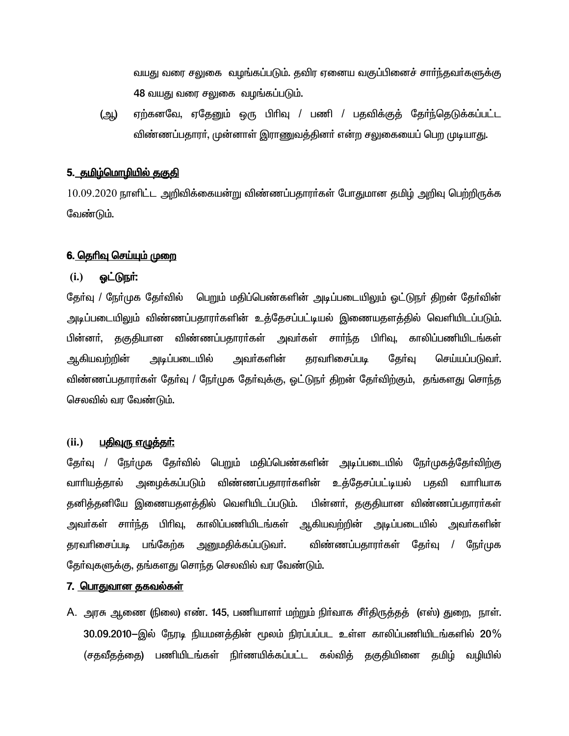வயது வரை சலுகை வழங்கப்படும். தவிர ஏனைய வகுப்பினைச் சார்ந்தவர்களுக்கு 48 வயது வரை சலுகை வழங்கப்படும்.

ஏற்கனவே, ஏதேனும் ஒரு பிரிவு / பணி / பதவிக்குக் கேர்ந்தெடுக்கப்பட்ட (ஆ) விண்ணப்பதாரர். முன்னாள் இராணுவத்தினர் என்ற சலுகையைப் பெற முடியாது.

## <u>5. தமிழ்மொழியில் தகுதி</u>

 $10.09.2020$  நாளிட்ட அறிவிக்கையன்று விண்ணப்பதாரர்கள் போதுமான தமிழ் அறிவு பெற்றிருக்க வேண்டும்.

### <u>6. தெரிவு செய்யும் முறை</u>

#### $(i.)$ <u>ஒட்டுநர்:</u>

தேர்வு / நேர்முக தேர்வில் பெறும் மதிப்பெண்களின் அடிப்படையிலும் ஒட்டுநர் திறன் தேர்வின் அடிப்படையிலும் விண்ணப்பதாரா்களின் உத்தேசப்பட்டியல் இணையதளத்தில் வெளியிடப்படும். பின்னா், தகுதியான விண்ணப்பதாரா்கள் அவா்கள் சாா்ந்த பிாிவு, காலிப்பணியிடங்கள் ஆகியவற்றின் அடிப்படையில் அவா்களின் தரவரிசைப்படி கேர்வு செய்யப்படுவா். விண்ணப்பதாரா்கள் தோ்வு / நோ்முக தோ்வுக்கு, ஒட்டுநா் திறன் தோ்விற்கும், தங்களது சொந்த செலவில் வா வேண்டும்.

#### $(ii.)$ <u>பதிவரு எழுத்தா்:</u>

தேர்வு / நேர்முக தேர்வில் பெறும் மதிப்பெண்களின் அடிப்படையில் நேர்முகத்தேர்விற்கு அழைக்கப்படும் விண்ணப்பதாரா்களின் உத்தேசப்பட்டியல் பதவி வாாியாக வாரியக்கால் தனித்தனியே இணையதளத்தில் வெளியிடப்படும். பின்னா், தகுதியான விண்ணப்பதாரா்கள் அவா்கள் சாா்ந்த பிாிவு, காலிப்பணியிடங்கள் ஆகியவற்றின் அடிப்படையில் அவா்களின் தரவரிசைப்படி பங்கேற்க அனுமகிக்கப்படுவா். விண்ணப்பதாரா்கள் கோ்வு / நோ்முக தேர்வுகளுக்கு, தங்களது சொந்த செலவில் வர வேண்டும்.

### <u>7. பொதுவான தகவல்கள்</u>

A. அரசு ஆணை (நிலை) எண். 145, பணியாளர் மற்றும் நிர்வாக சீர்திருத்தத் (எஸ்) துறை, நாள். 30.09.2010—இல் நேரடி நியமனத்தின் மூலம் நிரப்பப்பட உள்ள காலிப்பணியிடங்களில் 20 $\%$ (சதவீதத்தை) பணியிடங்கள் நிர்ணயிக்கப்பட்ட கல்வித் தகுதியினை தமிழ் வழியில்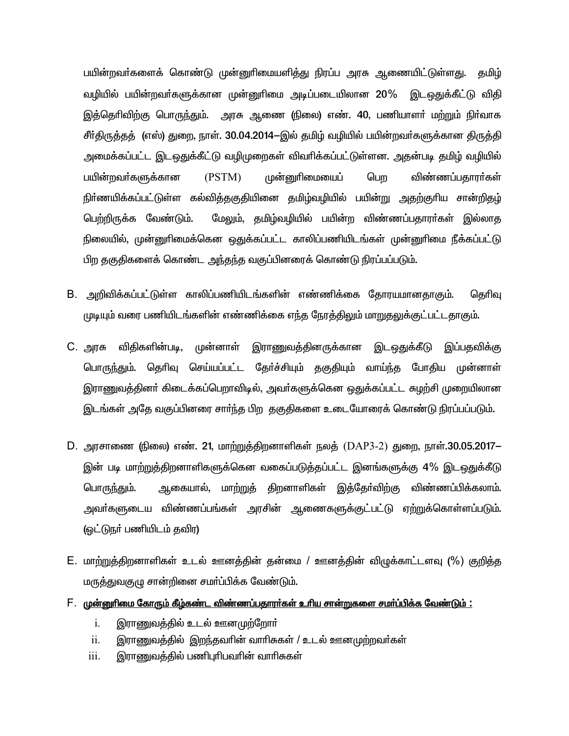பயின்றவா்களைக் கொண்டு முன்னுாிமையளித்து நிரப்ப அரசு ஆணையிட்டுள்ளது. தமிழ் வழியில் பயின்றவர்களுக்கான முன்னுரிமை அடிப்படையிலான 20% இடஒதுக்கீட்டு விதி இத்தெரிவிற்கு பொருந்தும். அரசு ஆணை (நிலை) எண். 40, பணியாளா் மற்றும் நிா்வாக சீர்திருத்தத் (எஸ்) துறை, நாள். 30.04.2014–இல் தமிழ் வழியில் பயின்றவர்களுக்கான திருத்தி அமைக்கப்பட்ட இடஒதுக்கீட்டு வழிமுறைகள் விவரிக்கப்பட்டுள்ளன. அதன்படி தமிழ் வழியில் பயின்றவா்களுக்கான (PSTM) முன்னுரிமையைப் பொ விண்ணப்பகாரா்கள் நிா்ணயிக்கப்பட்டுள்ள கல்வித்தகுதியினை தமிழ்வழியில் பயின்று அதற்குரிய சான்றிதழ் பெற்றிருக்க வேண்டும். மேலும், தமிழ்வழியில் பயின்ற விண்ணப்பதாரா்கள் இல்லாத நிலையில், முன்னுரிமைக்கென ஒதுக்கப்பட்ட காலிப்பணியிடங்கள் முன்னுரிமை நீக்கப்பட்டு பிற தகுதிகளைக் கொண்ட அந்தந்த வகுப்பினரைக் கொண்டு நிரப்பப்படும்.

- B. அறிவிக்கப்பட்டுள்ள காலிப்பணியிடங்களின் எண்ணிக்கை தோரயமானதாகும். தெரிவு முடியும் வரை பணியிடங்களின் எண்ணிக்கை எந்த நேரத்திலும் மாறுதலுக்குட்பட்டதாகும்.
- C. அரசு விதிகளின்படி, முன்னாள் இராணுவத்தினருக்கான இடஒதுக்கீடு இப்பதவிக்கு பொருந்தும். தெரிவு செய்யப்பட்ட தோ்ச்சியும் தகுதியும் வாய்ந்த போதிய முன்னாள் இராணுவத்தினா் கிடைக்கப்பெறாவிடில், அவா்களுக்கென ஒதுக்கப்பட்ட சுழற்சி முறையிலான இடங்கள் அதே வகுப்பினரை சார்ந்த பிற தகுதிகளை உடையோரைக் கொண்டு நிரப்பப்படும்.
- D. அரசாணை (நிலை) எண். 21, மாற்றுத்திறனாளிகள் நலத் (DAP3-2) துறை, நாள்.30.05.2017— இன் படி மாற்றுத்திறனாளிகளுக்கென வகைப்படுத்தப்பட்ட இனங்களுக்கு 4% இடஒதுக்கீடு ஆகையால், மாற்றுத் திறனாளிகள் இத்தேர்விற்கு விண்ணப்பிக்கலாம். பொருந்தும். அவா்களுடைய விண்ணப்பங்கள் அரசின் ஆணைகளுக்குட்பட்டு ஏற்றுக்கொள்ளப்படும். (ஒட்டுநா் பணியிடம் தவிர)
- E. மாற்றுத்திறனாளிகள் உடல் ஊனத்தின் தன்மை / ஊனத்தின் விழுக்காட்டளவு (%) குறித்த மருத்துவகுழு சான்றினை சமா்ப்பிக்க வேண்டும்.
- <u> F. முன்னுரிமை கோரும் கீழ்கண்ட விண்ணப்பகாரர்கள் உரிய சான்றுகளை சமர்ப்பிக்க வேண்டும் :</u>
	- $\mathbf{i}$ . இராணுவத்தில் உடல் ஊனமுற்றோர்
	- இராணுவத்தில் இறந்தவரின் வாரிசுகள் / உடல் ஊனமுற்றவர்கள் ii.
	- இராணுவத்தில் பணிபுரிபவரின் வாரிசுகள் iii.